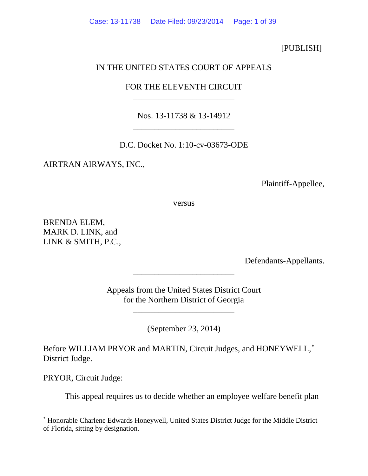[PUBLISH]

## IN THE UNITED STATES COURT OF APPEALS

## FOR THE ELEVENTH CIRCUIT \_\_\_\_\_\_\_\_\_\_\_\_\_\_\_\_\_\_\_\_\_\_\_\_

Nos. 13-11738 & 13-14912 \_\_\_\_\_\_\_\_\_\_\_\_\_\_\_\_\_\_\_\_\_\_\_\_

D.C. Docket No. 1:10-cv-03673-ODE

AIRTRAN AIRWAYS, INC.,

Plaintiff-Appellee,

versus

BRENDA ELEM, MARK D. LINK, and LINK & SMITH, P.C.,

Defendants-Appellants.

Appeals from the United States District Court for the Northern District of Georgia

\_\_\_\_\_\_\_\_\_\_\_\_\_\_\_\_\_\_\_\_\_\_\_\_

\_\_\_\_\_\_\_\_\_\_\_\_\_\_\_\_\_\_\_\_\_\_\_\_

(September 23, 2014)

Before WILLIAM PRYOR and MARTIN, Circuit Judges, and HONEYWELL,<sup>\*</sup> District Judge.

PRYOR, Circuit Judge:

 $\overline{a}$ 

This appeal requires us to decide whether an employee welfare benefit plan

<span id="page-0-0"></span><sup>∗</sup> Honorable Charlene Edwards Honeywell, United States District Judge for the Middle District of Florida, sitting by designation.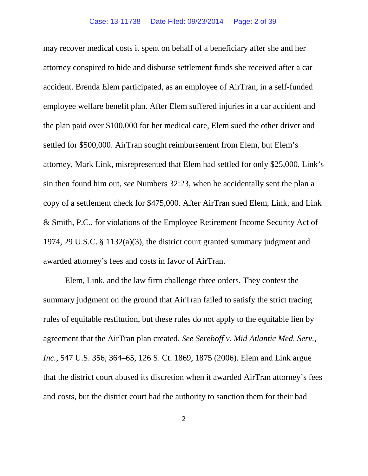may recover medical costs it spent on behalf of a beneficiary after she and her attorney conspired to hide and disburse settlement funds she received after a car accident. Brenda Elem participated, as an employee of AirTran, in a self-funded employee welfare benefit plan. After Elem suffered injuries in a car accident and the plan paid over \$100,000 for her medical care, Elem sued the other driver and settled for \$500,000. AirTran sought reimbursement from Elem, but Elem's attorney, Mark Link, misrepresented that Elem had settled for only \$25,000. Link's sin then found him out, *see* Numbers 32:23, when he accidentally sent the plan a copy of a settlement check for \$475,000. After AirTran sued Elem, Link, and Link & Smith, P.C., for violations of the Employee Retirement Income Security Act of 1974, 29 U.S.C. § 1132(a)(3), the district court granted summary judgment and awarded attorney's fees and costs in favor of AirTran.

Elem, Link, and the law firm challenge three orders. They contest the summary judgment on the ground that AirTran failed to satisfy the strict tracing rules of equitable restitution, but these rules do not apply to the equitable lien by agreement that the AirTran plan created. *See Sereboff v. Mid Atlantic Med. Serv., Inc.*, 547 U.S. 356, 364–65, 126 S. Ct. 1869, 1875 (2006). Elem and Link argue that the district court abused its discretion when it awarded AirTran attorney's fees and costs, but the district court had the authority to sanction them for their bad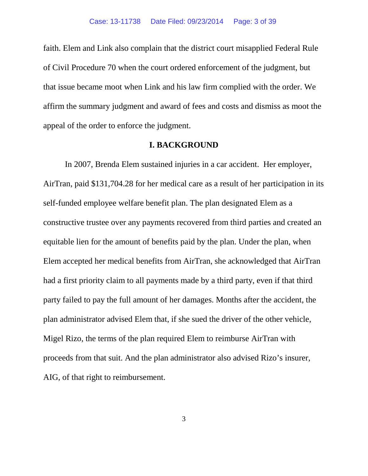faith. Elem and Link also complain that the district court misapplied Federal Rule of Civil Procedure 70 when the court ordered enforcement of the judgment, but that issue became moot when Link and his law firm complied with the order. We affirm the summary judgment and award of fees and costs and dismiss as moot the appeal of the order to enforce the judgment.

#### **I. BACKGROUND**

In 2007, Brenda Elem sustained injuries in a car accident. Her employer, AirTran, paid \$131,704.28 for her medical care as a result of her participation in its self-funded employee welfare benefit plan. The plan designated Elem as a constructive trustee over any payments recovered from third parties and created an equitable lien for the amount of benefits paid by the plan. Under the plan, when Elem accepted her medical benefits from AirTran, she acknowledged that AirTran had a first priority claim to all payments made by a third party, even if that third party failed to pay the full amount of her damages. Months after the accident, the plan administrator advised Elem that, if she sued the driver of the other vehicle, Migel Rizo, the terms of the plan required Elem to reimburse AirTran with proceeds from that suit. And the plan administrator also advised Rizo's insurer, AIG, of that right to reimbursement.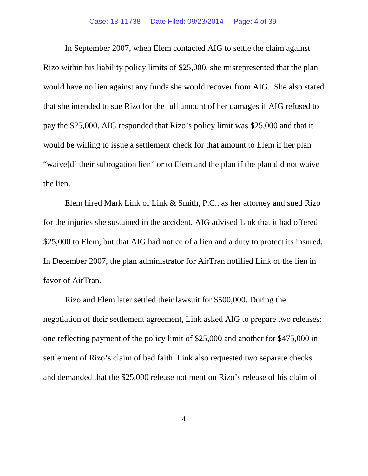In September 2007, when Elem contacted AIG to settle the claim against Rizo within his liability policy limits of \$25,000, she misrepresented that the plan would have no lien against any funds she would recover from AIG. She also stated that she intended to sue Rizo for the full amount of her damages if AIG refused to pay the \$25,000. AIG responded that Rizo's policy limit was \$25,000 and that it would be willing to issue a settlement check for that amount to Elem if her plan "waive[d] their subrogation lien" or to Elem and the plan if the plan did not waive the lien.

Elem hired Mark Link of Link & Smith, P.C., as her attorney and sued Rizo for the injuries she sustained in the accident. AIG advised Link that it had offered \$25,000 to Elem, but that AIG had notice of a lien and a duty to protect its insured. In December 2007, the plan administrator for AirTran notified Link of the lien in favor of AirTran.

Rizo and Elem later settled their lawsuit for \$500,000. During the negotiation of their settlement agreement, Link asked AIG to prepare two releases: one reflecting payment of the policy limit of \$25,000 and another for \$475,000 in settlement of Rizo's claim of bad faith. Link also requested two separate checks and demanded that the \$25,000 release not mention Rizo's release of his claim of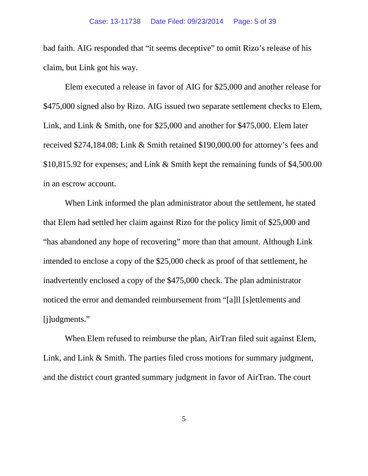bad faith. AIG responded that "it seems deceptive" to omit Rizo's release of his claim, but Link got his way.

Elem executed a release in favor of AIG for \$25,000 and another release for \$475,000 signed also by Rizo. AIG issued two separate settlement checks to Elem, Link, and Link & Smith, one for \$25,000 and another for \$475,000. Elem later received \$274,184.08; Link & Smith retained \$190,000.00 for attorney's fees and \$10,815.92 for expenses; and Link & Smith kept the remaining funds of \$4,500.00 in an escrow account.

When Link informed the plan administrator about the settlement, he stated that Elem had settled her claim against Rizo for the policy limit of \$25,000 and "has abandoned any hope of recovering" more than that amount. Although Link intended to enclose a copy of the \$25,000 check as proof of that settlement, he inadvertently enclosed a copy of the \$475,000 check. The plan administrator noticed the error and demanded reimbursement from "[a]ll [s]ettlements and [j]udgments."

When Elem refused to reimburse the plan, AirTran filed suit against Elem, Link, and Link & Smith. The parties filed cross motions for summary judgment, and the district court granted summary judgment in favor of AirTran. The court

5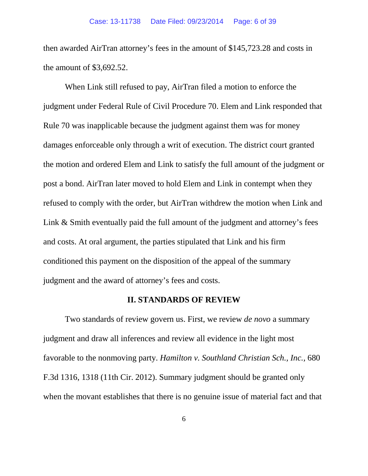then awarded AirTran attorney's fees in the amount of \$145,723.28 and costs in the amount of \$3,692.52.

When Link still refused to pay, AirTran filed a motion to enforce the judgment under Federal Rule of Civil Procedure 70. Elem and Link responded that Rule 70 was inapplicable because the judgment against them was for money damages enforceable only through a writ of execution. The district court granted the motion and ordered Elem and Link to satisfy the full amount of the judgment or post a bond. AirTran later moved to hold Elem and Link in contempt when they refused to comply with the order, but AirTran withdrew the motion when Link and Link & Smith eventually paid the full amount of the judgment and attorney's fees and costs. At oral argument, the parties stipulated that Link and his firm conditioned this payment on the disposition of the appeal of the summary judgment and the award of attorney's fees and costs.

#### **II. STANDARDS OF REVIEW**

Two standards of review govern us. First, we review *de novo* a summary judgment and draw all inferences and review all evidence in the light most favorable to the nonmoving party. *Hamilton v. Southland Christian Sch., Inc.,* 680 F.3d 1316, 1318 (11th Cir. 2012). Summary judgment should be granted only when the movant establishes that there is no genuine issue of material fact and that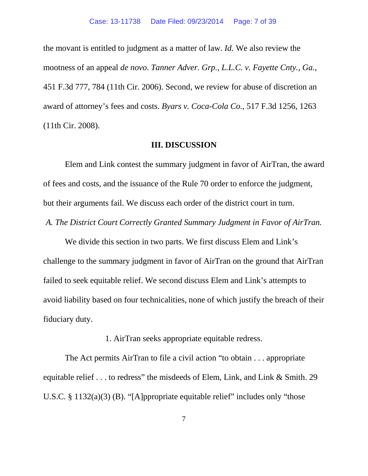the movant is entitled to judgment as a matter of law. *Id.* We also review the mootness of an appeal *de novo*. *Tanner Adver. Grp., L.L.C. v. Fayette Cnty., Ga.*, 451 F.3d 777, 784 (11th Cir. 2006). Second, we review for abuse of discretion an award of attorney's fees and costs. *Byars v. Coca-Cola Co.*, 517 F.3d 1256, 1263 (11th Cir. 2008).

#### **III. DISCUSSION**

Elem and Link contest the summary judgment in favor of AirTran, the award of fees and costs, and the issuance of the Rule 70 order to enforce the judgment, but their arguments fail. We discuss each order of the district court in turn.

*A. The District Court Correctly Granted Summary Judgment in Favor of AirTran.*

We divide this section in two parts. We first discuss Elem and Link's challenge to the summary judgment in favor of AirTran on the ground that AirTran failed to seek equitable relief. We second discuss Elem and Link's attempts to avoid liability based on four technicalities, none of which justify the breach of their fiduciary duty.

1. AirTran seeks appropriate equitable redress.

The Act permits AirTran to file a civil action "to obtain . . . appropriate equitable relief . . . to redress" the misdeeds of Elem, Link, and Link & Smith. 29 U.S.C. § 1132(a)(3) (B). "[A]ppropriate equitable relief" includes only "those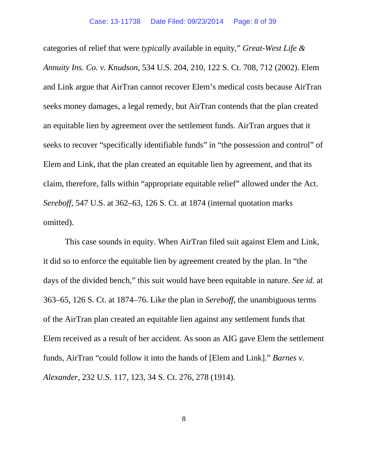categories of relief that were *typically* available in equity," *Great-West Life & Annuity Ins. Co. v. Knudson*, 534 U.S. 204, 210, 122 S. Ct. 708, 712 (2002). Elem and Link argue that AirTran cannot recover Elem's medical costs because AirTran seeks money damages, a legal remedy, but AirTran contends that the plan created an equitable lien by agreement over the settlement funds. AirTran argues that it seeks to recover "specifically identifiable funds" in "the possession and control" of Elem and Link, that the plan created an equitable lien by agreement, and that its claim, therefore, falls within "appropriate equitable relief" allowed under the Act. *Sereboff*, 547 U.S. at 362–63, 126 S. Ct. at 1874 (internal quotation marks omitted).

This case sounds in equity. When AirTran filed suit against Elem and Link, it did so to enforce the equitable lien by agreement created by the plan. In "the days of the divided bench," this suit would have been equitable in nature. *See id.* at 363–65, 126 S. Ct. at 1874–76. Like the plan in *Sereboff*, the unambiguous terms of the AirTran plan created an equitable lien against any settlement funds that Elem received as a result of her accident. As soon as AIG gave Elem the settlement funds, AirTran "could follow it into the hands of [Elem and Link]." *Barnes v. Alexander*, 232 U.S. 117, 123, 34 S. Ct. 276, 278 (1914).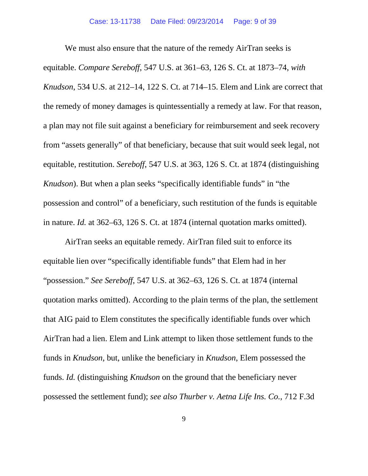We must also ensure that the nature of the remedy AirTran seeks is equitable. *Compare Sereboff*, 547 U.S. at 361–63, 126 S. Ct. at 1873–74, *with Knudson*, 534 U.S. at 212–14, 122 S. Ct. at 714–15. Elem and Link are correct that the remedy of money damages is quintessentially a remedy at law. For that reason, a plan may not file suit against a beneficiary for reimbursement and seek recovery from "assets generally" of that beneficiary, because that suit would seek legal, not equitable, restitution. *Sereboff*, 547 U.S. at 363, 126 S. Ct. at 1874 (distinguishing *Knudson*). But when a plan seeks "specifically identifiable funds" in "the possession and control" of a beneficiary, such restitution of the funds is equitable in nature. *Id.* at 362–63, 126 S. Ct. at 1874 (internal quotation marks omitted).

AirTran seeks an equitable remedy. AirTran filed suit to enforce its equitable lien over "specifically identifiable funds" that Elem had in her "possession." *See Sereboff*, 547 U.S. at 362–63, 126 S. Ct. at 1874 (internal quotation marks omitted). According to the plain terms of the plan, the settlement that AIG paid to Elem constitutes the specifically identifiable funds over which AirTran had a lien. Elem and Link attempt to liken those settlement funds to the funds in *Knudson*, but, unlike the beneficiary in *Knudson*, Elem possessed the funds. *Id.* (distinguishing *Knudson* on the ground that the beneficiary never possessed the settlement fund); *see also Thurber v. Aetna Life Ins. Co.*, 712 F.3d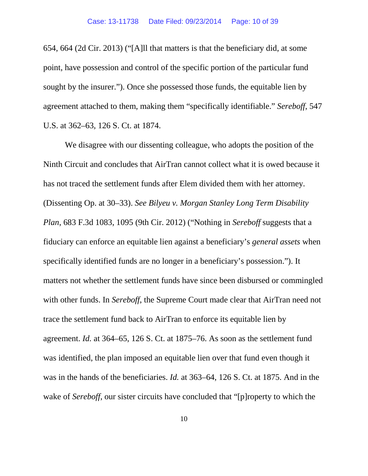654, 664 (2d Cir. 2013) ("[A]ll that matters is that the beneficiary did, at some point, have possession and control of the specific portion of the particular fund sought by the insurer."). Once she possessed those funds, the equitable lien by agreement attached to them, making them "specifically identifiable." *Sereboff*, 547 U.S. at 362–63, 126 S. Ct. at 1874.

We disagree with our dissenting colleague, who adopts the position of the Ninth Circuit and concludes that AirTran cannot collect what it is owed because it has not traced the settlement funds after Elem divided them with her attorney. (Dissenting Op. at 30–33). *See Bilyeu v. Morgan Stanley Long Term Disability Plan*, 683 F.3d 1083, 1095 (9th Cir. 2012) ("Nothing in *Sereboff* suggests that a fiduciary can enforce an equitable lien against a beneficiary's *general assets* when specifically identified funds are no longer in a beneficiary's possession."). It matters not whether the settlement funds have since been disbursed or commingled with other funds. In *Sereboff*, the Supreme Court made clear that AirTran need not trace the settlement fund back to AirTran to enforce its equitable lien by agreement. *Id.* at 364–65, 126 S. Ct. at 1875–76. As soon as the settlement fund was identified, the plan imposed an equitable lien over that fund even though it was in the hands of the beneficiaries. *Id.* at 363–64, 126 S. Ct. at 1875. And in the wake of *Sereboff*, our sister circuits have concluded that "[p]roperty to which the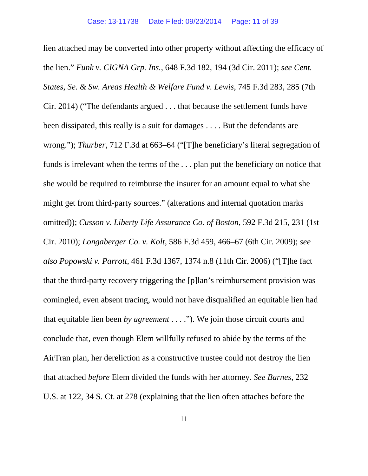lien attached may be converted into other property without affecting the efficacy of the lien." *Funk v. CIGNA Grp. Ins.*, 648 F.3d 182, 194 (3d Cir. 2011); *see Cent. States, Se. & Sw. Areas Health & Welfare Fund v. Lewis*, 745 F.3d 283, 285 (7th Cir. 2014) ("The defendants argued . . . that because the settlement funds have been dissipated, this really is a suit for damages . . . . But the defendants are wrong."); *Thurber*, 712 F.3d at 663–64 ("[T]he beneficiary's literal segregation of funds is irrelevant when the terms of the . . . plan put the beneficiary on notice that she would be required to reimburse the insurer for an amount equal to what she might get from third-party sources." (alterations and internal quotation marks omitted)); *Cusson v. Liberty Life Assurance Co. of Boston*, 592 F.3d 215, 231 (1st Cir. 2010); *Longaberger Co. v. Kolt*, 586 F.3d 459, 466–67 (6th Cir. 2009); *see also Popowski v. Parrott*, 461 F.3d 1367, 1374 n.8 (11th Cir. 2006) ("[T]he fact that the third-party recovery triggering the [p]lan's reimbursement provision was comingled, even absent tracing, would not have disqualified an equitable lien had that equitable lien been *by agreement* . . . ."). We join those circuit courts and conclude that, even though Elem willfully refused to abide by the terms of the AirTran plan, her dereliction as a constructive trustee could not destroy the lien that attached *before* Elem divided the funds with her attorney. *See Barnes*, 232 U.S. at 122, 34 S. Ct. at 278 (explaining that the lien often attaches before the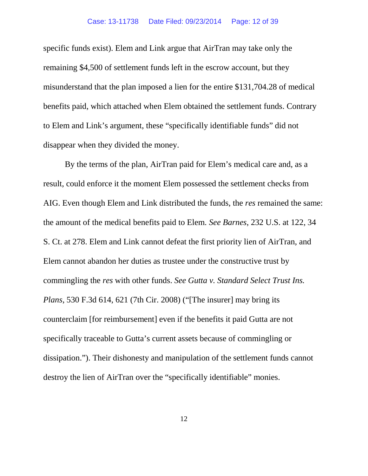specific funds exist). Elem and Link argue that AirTran may take only the remaining \$4,500 of settlement funds left in the escrow account, but they misunderstand that the plan imposed a lien for the entire \$131,704.28 of medical benefits paid, which attached when Elem obtained the settlement funds. Contrary to Elem and Link's argument, these "specifically identifiable funds" did not disappear when they divided the money.

By the terms of the plan, AirTran paid for Elem's medical care and, as a result, could enforce it the moment Elem possessed the settlement checks from AIG. Even though Elem and Link distributed the funds, the *res* remained the same: the amount of the medical benefits paid to Elem. *See Barnes*, 232 U.S. at 122, 34 S. Ct. at 278. Elem and Link cannot defeat the first priority lien of AirTran, and Elem cannot abandon her duties as trustee under the constructive trust by commingling the *res* with other funds. *See Gutta v. Standard Select Trust Ins. Plans*, 530 F.3d 614, 621 (7th Cir. 2008) ("[The insurer] may bring its counterclaim [for reimbursement] even if the benefits it paid Gutta are not specifically traceable to Gutta's current assets because of commingling or dissipation."). Their dishonesty and manipulation of the settlement funds cannot destroy the lien of AirTran over the "specifically identifiable" monies.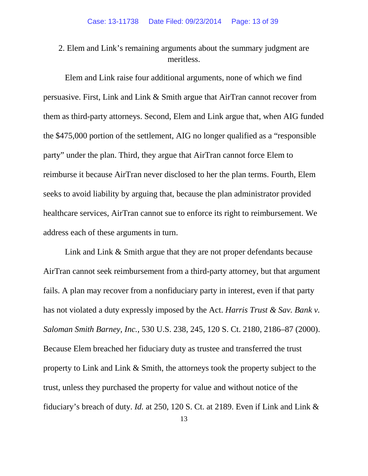2. Elem and Link's remaining arguments about the summary judgment are meritless.

Elem and Link raise four additional arguments, none of which we find persuasive. First, Link and Link & Smith argue that AirTran cannot recover from them as third-party attorneys. Second, Elem and Link argue that, when AIG funded the \$475,000 portion of the settlement, AIG no longer qualified as a "responsible party" under the plan. Third, they argue that AirTran cannot force Elem to reimburse it because AirTran never disclosed to her the plan terms. Fourth, Elem seeks to avoid liability by arguing that, because the plan administrator provided healthcare services, AirTran cannot sue to enforce its right to reimbursement. We address each of these arguments in turn.

Link and Link & Smith argue that they are not proper defendants because AirTran cannot seek reimbursement from a third-party attorney, but that argument fails. A plan may recover from a nonfiduciary party in interest, even if that party has not violated a duty expressly imposed by the Act. *Harris Trust & Sav. Bank v. Saloman Smith Barney, Inc.*, 530 U.S. 238, 245, 120 S. Ct. 2180, 2186–87 (2000). Because Elem breached her fiduciary duty as trustee and transferred the trust property to Link and Link & Smith, the attorneys took the property subject to the trust, unless they purchased the property for value and without notice of the fiduciary's breach of duty. *Id.* at 250, 120 S. Ct. at 2189. Even if Link and Link &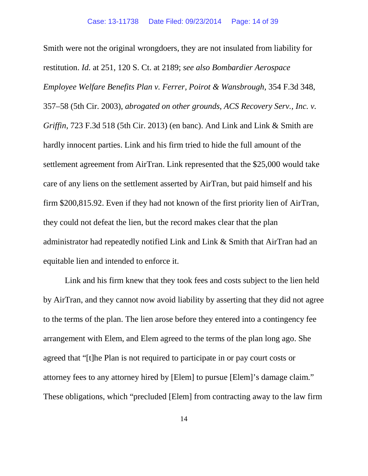Smith were not the original wrongdoers, they are not insulated from liability for restitution. *Id.* at 251, 120 S. Ct. at 2189; *see also Bombardier Aerospace Employee Welfare Benefits Plan v. Ferrer, Poirot & Wansbrough*, 354 F.3d 348, 357–58 (5th Cir. 2003), *abrogated on other grounds*, *ACS Recovery Serv., Inc. v. Griffin*, 723 F.3d 518 (5th Cir. 2013) (en banc). And Link and Link & Smith are hardly innocent parties. Link and his firm tried to hide the full amount of the settlement agreement from AirTran. Link represented that the \$25,000 would take care of any liens on the settlement asserted by AirTran, but paid himself and his firm \$200,815.92. Even if they had not known of the first priority lien of AirTran, they could not defeat the lien, but the record makes clear that the plan administrator had repeatedly notified Link and Link & Smith that AirTran had an equitable lien and intended to enforce it.

Link and his firm knew that they took fees and costs subject to the lien held by AirTran, and they cannot now avoid liability by asserting that they did not agree to the terms of the plan. The lien arose before they entered into a contingency fee arrangement with Elem, and Elem agreed to the terms of the plan long ago. She agreed that "[t]he Plan is not required to participate in or pay court costs or attorney fees to any attorney hired by [Elem] to pursue [Elem]'s damage claim." These obligations, which "precluded [Elem] from contracting away to the law firm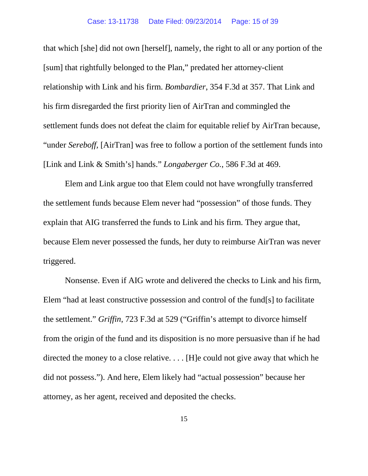that which [she] did not own [herself], namely, the right to all or any portion of the [sum] that rightfully belonged to the Plan," predated her attorney-client relationship with Link and his firm. *Bombardier*, 354 F.3d at 357. That Link and his firm disregarded the first priority lien of AirTran and commingled the settlement funds does not defeat the claim for equitable relief by AirTran because, "under *Sereboff,* [AirTran] was free to follow a portion of the settlement funds into [Link and Link & Smith's] hands." *Longaberger Co.*, 586 F.3d at 469.

Elem and Link argue too that Elem could not have wrongfully transferred the settlement funds because Elem never had "possession" of those funds. They explain that AIG transferred the funds to Link and his firm. They argue that, because Elem never possessed the funds, her duty to reimburse AirTran was never triggered.

Nonsense. Even if AIG wrote and delivered the checks to Link and his firm, Elem "had at least constructive possession and control of the fund[s] to facilitate the settlement." *Griffin*, 723 F.3d at 529 ("Griffin's attempt to divorce himself from the origin of the fund and its disposition is no more persuasive than if he had directed the money to a close relative. . . . [H]e could not give away that which he did not possess."). And here, Elem likely had "actual possession" because her attorney, as her agent, received and deposited the checks.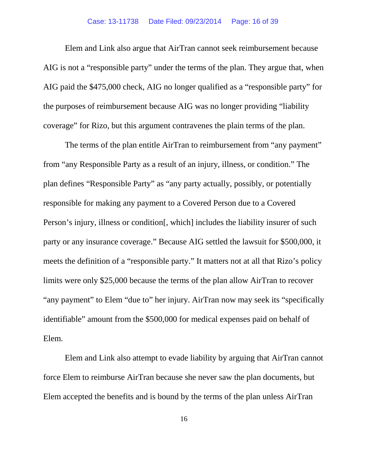Elem and Link also argue that AirTran cannot seek reimbursement because AIG is not a "responsible party" under the terms of the plan. They argue that, when AIG paid the \$475,000 check, AIG no longer qualified as a "responsible party" for the purposes of reimbursement because AIG was no longer providing "liability coverage" for Rizo, but this argument contravenes the plain terms of the plan.

The terms of the plan entitle AirTran to reimbursement from "any payment" from "any Responsible Party as a result of an injury, illness, or condition." The plan defines "Responsible Party" as "any party actually, possibly, or potentially responsible for making any payment to a Covered Person due to a Covered Person's injury, illness or condition. which includes the liability insurer of such party or any insurance coverage." Because AIG settled the lawsuit for \$500,000, it meets the definition of a "responsible party." It matters not at all that Rizo's policy limits were only \$25,000 because the terms of the plan allow AirTran to recover "any payment" to Elem "due to" her injury. AirTran now may seek its "specifically identifiable" amount from the \$500,000 for medical expenses paid on behalf of Elem.

Elem and Link also attempt to evade liability by arguing that AirTran cannot force Elem to reimburse AirTran because she never saw the plan documents, but Elem accepted the benefits and is bound by the terms of the plan unless AirTran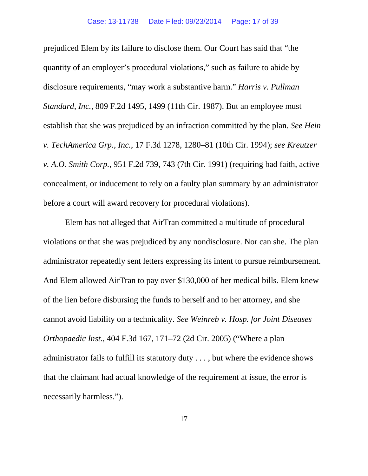prejudiced Elem by its failure to disclose them. Our Court has said that "the quantity of an employer's procedural violations," such as failure to abide by disclosure requirements, "may work a substantive harm." *Harris v. Pullman Standard, Inc.*, 809 F.2d 1495, 1499 (11th Cir. 1987). But an employee must establish that she was prejudiced by an infraction committed by the plan. *See Hein v. TechAmerica Grp., Inc.*, 17 F.3d 1278, 1280–81 (10th Cir. 1994); *see Kreutzer v. A.O. Smith Corp.*, 951 F.2d 739, 743 (7th Cir. 1991) (requiring bad faith, active concealment, or inducement to rely on a faulty plan summary by an administrator before a court will award recovery for procedural violations).

Elem has not alleged that AirTran committed a multitude of procedural violations or that she was prejudiced by any nondisclosure. Nor can she. The plan administrator repeatedly sent letters expressing its intent to pursue reimbursement. And Elem allowed AirTran to pay over \$130,000 of her medical bills. Elem knew of the lien before disbursing the funds to herself and to her attorney, and she cannot avoid liability on a technicality. *See Weinreb v. Hosp. for Joint Diseases Orthopaedic Inst.*, 404 F.3d 167, 171–72 (2d Cir. 2005) ("Where a plan administrator fails to fulfill its statutory duty . . . , but where the evidence shows that the claimant had actual knowledge of the requirement at issue, the error is necessarily harmless.").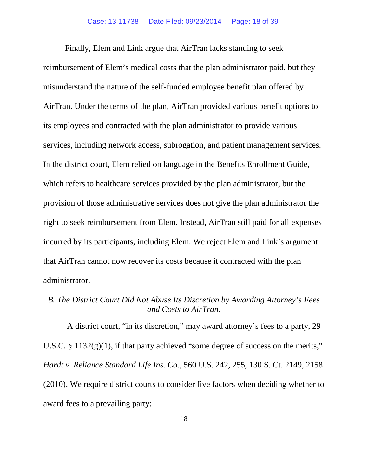Finally, Elem and Link argue that AirTran lacks standing to seek reimbursement of Elem's medical costs that the plan administrator paid, but they misunderstand the nature of the self-funded employee benefit plan offered by AirTran. Under the terms of the plan, AirTran provided various benefit options to its employees and contracted with the plan administrator to provide various services, including network access, subrogation, and patient management services. In the district court, Elem relied on language in the Benefits Enrollment Guide, which refers to healthcare services provided by the plan administrator, but the provision of those administrative services does not give the plan administrator the right to seek reimbursement from Elem. Instead, AirTran still paid for all expenses incurred by its participants, including Elem. We reject Elem and Link's argument that AirTran cannot now recover its costs because it contracted with the plan administrator.

## *B. The District Court Did Not Abuse Its Discretion by Awarding Attorney's Fees and Costs to AirTran.*

A district court, "in its discretion," may award attorney's fees to a party, 29 U.S.C. § 1132(g)(1), if that party achieved "some degree of success on the merits," *Hardt v. Reliance Standard Life Ins. Co.*, 560 U.S. 242, 255, 130 S. Ct. 2149, 2158 (2010). We require district courts to consider five factors when deciding whether to award fees to a prevailing party: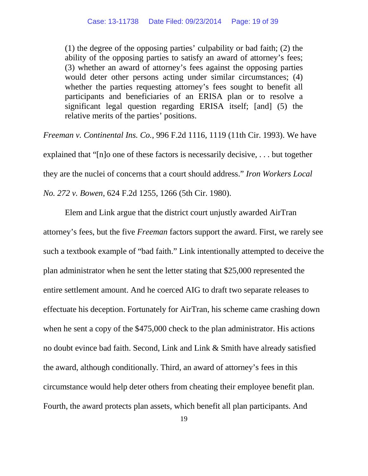(1) the degree of the opposing parties' culpability or bad faith; (2) the ability of the opposing parties to satisfy an award of attorney's fees; (3) whether an award of attorney's fees against the opposing parties would deter other persons acting under similar circumstances; (4) whether the parties requesting attorney's fees sought to benefit all participants and beneficiaries of an ERISA plan or to resolve a significant legal question regarding ERISA itself; [and] (5) the relative merits of the parties' positions.

*Freeman v. Continental Ins. Co.*, 996 F.2d 1116, 1119 (11th Cir. 1993). We have explained that "[n]o one of these factors is necessarily decisive, . . . but together they are the nuclei of concerns that a court should address." *Iron Workers Local No. 272 v. Bowen*, 624 F.2d 1255, 1266 (5th Cir. 1980).

Elem and Link argue that the district court unjustly awarded AirTran attorney's fees, but the five *Freeman* factors support the award. First, we rarely see such a textbook example of "bad faith." Link intentionally attempted to deceive the plan administrator when he sent the letter stating that \$25,000 represented the entire settlement amount. And he coerced AIG to draft two separate releases to effectuate his deception. Fortunately for AirTran, his scheme came crashing down when he sent a copy of the \$475,000 check to the plan administrator. His actions no doubt evince bad faith. Second, Link and Link & Smith have already satisfied the award, although conditionally. Third, an award of attorney's fees in this circumstance would help deter others from cheating their employee benefit plan. Fourth, the award protects plan assets, which benefit all plan participants. And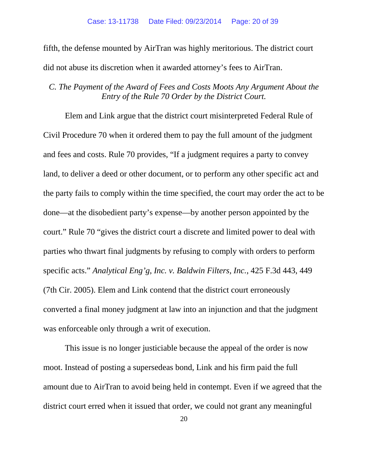fifth, the defense mounted by AirTran was highly meritorious. The district court did not abuse its discretion when it awarded attorney's fees to AirTran.

### *C. The Payment of the Award of Fees and Costs Moots Any Argument About the Entry of the Rule 70 Order by the District Court.*

Elem and Link argue that the district court misinterpreted Federal Rule of Civil Procedure 70 when it ordered them to pay the full amount of the judgment and fees and costs. Rule 70 provides, "If a judgment requires a party to convey land, to deliver a deed or other document, or to perform any other specific act and the party fails to comply within the time specified, the court may order the act to be done—at the disobedient party's expense—by another person appointed by the court." Rule 70 "gives the district court a discrete and limited power to deal with parties who thwart final judgments by refusing to comply with orders to perform specific acts." *Analytical Eng'g, Inc. v. Baldwin Filters, Inc.*, 425 F.3d 443, 449 (7th Cir. 2005). Elem and Link contend that the district court erroneously converted a final money judgment at law into an injunction and that the judgment was enforceable only through a writ of execution.

This issue is no longer justiciable because the appeal of the order is now moot. Instead of posting a supersedeas bond, Link and his firm paid the full amount due to AirTran to avoid being held in contempt. Even if we agreed that the district court erred when it issued that order, we could not grant any meaningful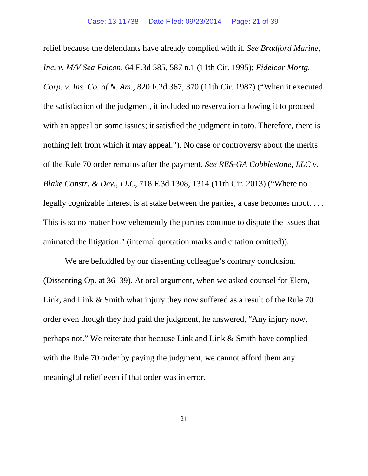relief because the defendants have already complied with it. *See Bradford Marine, Inc. v. M/V Sea Falcon*, 64 F.3d 585, 587 n.1 (11th Cir. 1995); *Fidelcor Mortg. Corp. v. Ins. Co. of N. Am.*, 820 F.2d 367, 370 (11th Cir. 1987) ("When it executed the satisfaction of the judgment, it included no reservation allowing it to proceed with an appeal on some issues; it satisfied the judgment in toto. Therefore, there is nothing left from which it may appeal."). No case or controversy about the merits of the Rule 70 order remains after the payment. *See RES-GA Cobblestone, LLC v. Blake Constr. & Dev., LLC*, 718 F.3d 1308, 1314 (11th Cir. 2013) ("Where no legally cognizable interest is at stake between the parties, a case becomes moot. . . . This is so no matter how vehemently the parties continue to dispute the issues that animated the litigation." (internal quotation marks and citation omitted)).

We are befuddled by our dissenting colleague's contrary conclusion. (Dissenting Op. at 36–39). At oral argument, when we asked counsel for Elem, Link, and Link & Smith what injury they now suffered as a result of the Rule 70 order even though they had paid the judgment, he answered, "Any injury now, perhaps not." We reiterate that because Link and Link & Smith have complied with the Rule 70 order by paying the judgment, we cannot afford them any meaningful relief even if that order was in error.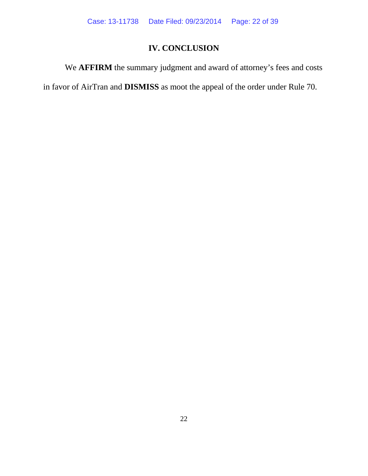# **IV. CONCLUSION**

We **AFFIRM** the summary judgment and award of attorney's fees and costs

in favor of AirTran and **DISMISS** as moot the appeal of the order under Rule 70.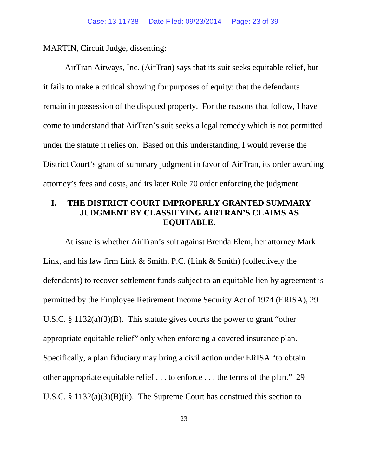MARTIN, Circuit Judge, dissenting:

AirTran Airways, Inc. (AirTran) says that its suit seeks equitable relief, but it fails to make a critical showing for purposes of equity: that the defendants remain in possession of the disputed property. For the reasons that follow, I have come to understand that AirTran's suit seeks a legal remedy which is not permitted under the statute it relies on. Based on this understanding, I would reverse the District Court's grant of summary judgment in favor of AirTran, its order awarding attorney's fees and costs, and its later Rule 70 order enforcing the judgment.

## **I. THE DISTRICT COURT IMPROPERLY GRANTED SUMMARY JUDGMENT BY CLASSIFYING AIRTRAN'S CLAIMS AS EQUITABLE.**

At issue is whether AirTran's suit against Brenda Elem, her attorney Mark Link, and his law firm Link & Smith, P.C. (Link & Smith) (collectively the defendants) to recover settlement funds subject to an equitable lien by agreement is permitted by the Employee Retirement Income Security Act of 1974 (ERISA), 29 U.S.C. § 1132(a)(3)(B). This statute gives courts the power to grant "other appropriate equitable relief" only when enforcing a covered insurance plan. Specifically, a plan fiduciary may bring a civil action under ERISA "to obtain other appropriate equitable relief . . . to enforce . . . the terms of the plan." 29 U.S.C. § 1132(a)(3)(B)(ii). The Supreme Court has construed this section to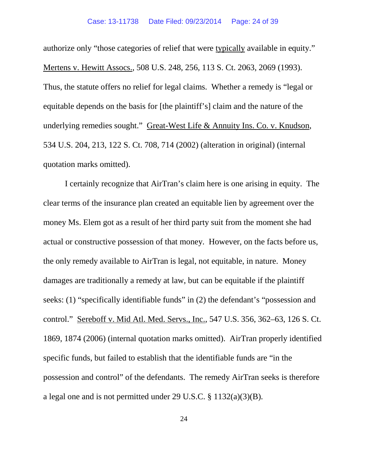authorize only "those categories of relief that were typically available in equity." Mertens v. Hewitt Assocs., 508 U.S. 248, 256, 113 S. Ct. 2063, 2069 (1993). Thus, the statute offers no relief for legal claims. Whether a remedy is "legal or equitable depends on the basis for [the plaintiff's] claim and the nature of the underlying remedies sought." Great-West Life & Annuity Ins. Co. v. Knudson, 534 U.S. 204, 213, 122 S. Ct. 708, 714 (2002) (alteration in original) (internal quotation marks omitted).

I certainly recognize that AirTran's claim here is one arising in equity. The clear terms of the insurance plan created an equitable lien by agreement over the money Ms. Elem got as a result of her third party suit from the moment she had actual or constructive possession of that money. However, on the facts before us, the only remedy available to AirTran is legal, not equitable, in nature. Money damages are traditionally a remedy at law, but can be equitable if the plaintiff seeks: (1) "specifically identifiable funds" in (2) the defendant's "possession and control." Sereboff v. Mid Atl. Med. Servs., Inc., 547 U.S. 356, 362–63, 126 S. Ct. 1869, 1874 (2006) (internal quotation marks omitted). AirTran properly identified specific funds, but failed to establish that the identifiable funds are "in the possession and control" of the defendants. The remedy AirTran seeks is therefore a legal one and is not permitted under 29 U.S.C. § 1132(a)(3)(B).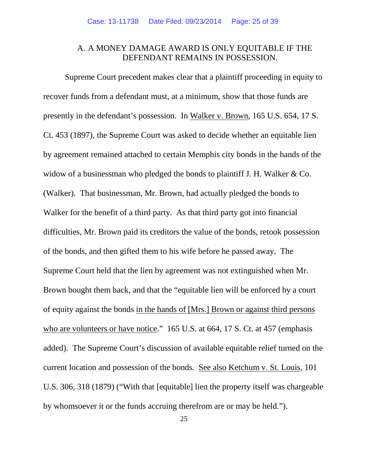### A. A MONEY DAMAGE AWARD IS ONLY EQUITABLE IF THE DEFENDANT REMAINS IN POSSESSION.

Supreme Court precedent makes clear that a plaintiff proceeding in equity to recover funds from a defendant must, at a minimum, show that those funds are presently in the defendant's possession. In Walker v. Brown, 165 U.S. 654, 17 S. Ct. 453 (1897), the Supreme Court was asked to decide whether an equitable lien by agreement remained attached to certain Memphis city bonds in the hands of the widow of a businessman who pledged the bonds to plaintiff J. H. Walker & Co. (Walker). That businessman, Mr. Brown, had actually pledged the bonds to Walker for the benefit of a third party. As that third party got into financial difficulties, Mr. Brown paid its creditors the value of the bonds, retook possession of the bonds, and then gifted them to his wife before he passed away. The Supreme Court held that the lien by agreement was not extinguished when Mr. Brown bought them back, and that the "equitable lien will be enforced by a court of equity against the bonds in the hands of [Mrs.] Brown or against third persons who are volunteers or have notice." 165 U.S. at 664, 17 S. Ct. at 457 (emphasis added). The Supreme Court's discussion of available equitable relief turned on the current location and possession of the bonds. See also Ketchum v. St. Louis, 101 U.S. 306, 318 (1879) ("With that [equitable] lien the property itself was chargeable by whomsoever it or the funds accruing therefrom are or may be held.").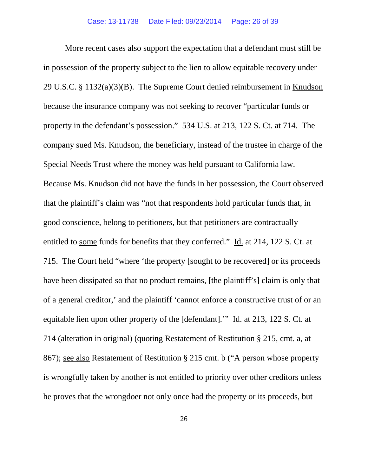More recent cases also support the expectation that a defendant must still be in possession of the property subject to the lien to allow equitable recovery under 29 U.S.C. § 1132(a)(3)(B). The Supreme Court denied reimbursement in Knudson because the insurance company was not seeking to recover "particular funds or property in the defendant's possession." 534 U.S. at 213, 122 S. Ct. at 714. The company sued Ms. Knudson, the beneficiary, instead of the trustee in charge of the Special Needs Trust where the money was held pursuant to California law. Because Ms. Knudson did not have the funds in her possession, the Court observed that the plaintiff's claim was "not that respondents hold particular funds that, in good conscience, belong to petitioners, but that petitioners are contractually entitled to some funds for benefits that they conferred." Id. at 214, 122 S. Ct. at 715. The Court held "where 'the property [sought to be recovered] or its proceeds have been dissipated so that no product remains, [the plaintiff's] claim is only that of a general creditor,' and the plaintiff 'cannot enforce a constructive trust of or an equitable lien upon other property of the [defendant].'" Id. at 213, 122 S. Ct. at 714 (alteration in original) (quoting Restatement of Restitution § 215, cmt. a, at 867); see also Restatement of Restitution § 215 cmt. b ("A person whose property is wrongfully taken by another is not entitled to priority over other creditors unless he proves that the wrongdoer not only once had the property or its proceeds, but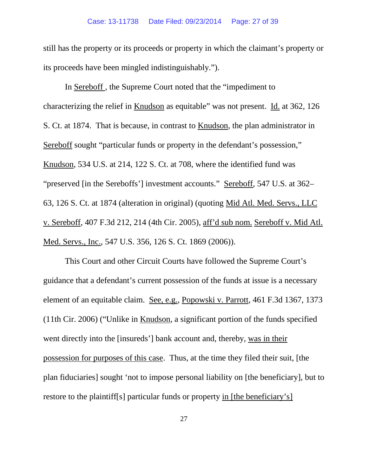still has the property or its proceeds or property in which the claimant's property or its proceeds have been mingled indistinguishably.").

In Sereboff , the Supreme Court noted that the "impediment to characterizing the relief in Knudson as equitable" was not present. Id. at 362, 126 S. Ct. at 1874. That is because, in contrast to Knudson, the plan administrator in Sereboff sought "particular funds or property in the defendant's possession," Knudson, 534 U.S. at 214, 122 S. Ct. at 708, where the identified fund was "preserved [in the Sereboffs'] investment accounts." Sereboff, 547 U.S. at 362– 63, 126 S. Ct. at 1874 (alteration in original) (quoting Mid Atl. Med. Servs., LLC v. Sereboff, 407 F.3d 212, 214 (4th Cir. 2005), aff'd sub nom. Sereboff v. Mid Atl. Med. Servs., Inc., 547 U.S. 356, 126 S. Ct. 1869 (2006)).

This Court and other Circuit Courts have followed the Supreme Court's guidance that a defendant's current possession of the funds at issue is a necessary element of an equitable claim. See, e.g., Popowski v. Parrott, 461 F.3d 1367, 1373 (11th Cir. 2006) ("Unlike in Knudson, a significant portion of the funds specified went directly into the [insureds'] bank account and, thereby, was in their possession for purposes of this case. Thus, at the time they filed their suit, [the plan fiduciaries] sought 'not to impose personal liability on [the beneficiary], but to restore to the plaintiff[s] particular funds or property in [the beneficiary's]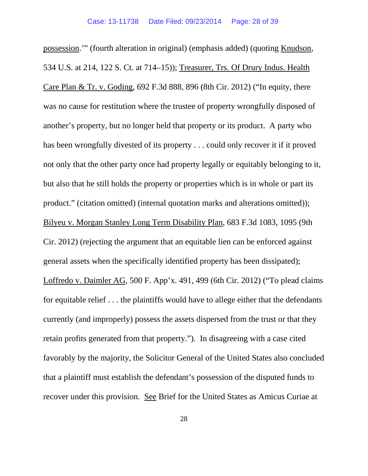possession.'" (fourth alteration in original) (emphasis added) (quoting Knudson, 534 U.S. at 214, 122 S. Ct. at 714–15)); Treasurer, Trs. Of Drury Indus. Health Care Plan & Tr. v. Goding, 692 F.3d 888, 896 (8th Cir. 2012) ("In equity, there was no cause for restitution where the trustee of property wrongfully disposed of another's property, but no longer held that property or its product. A party who has been wrongfully divested of its property . . . could only recover it if it proved not only that the other party once had property legally or equitably belonging to it, but also that he still holds the property or properties which is in whole or part its product." (citation omitted) (internal quotation marks and alterations omitted)); Bilyeu v. Morgan Stanley Long Term Disability Plan, 683 F.3d 1083, 1095 (9th Cir. 2012) (rejecting the argument that an equitable lien can be enforced against general assets when the specifically identified property has been dissipated); Loffredo v. Daimler AG, 500 F. App'x. 491, 499 (6th Cir. 2012) ("To plead claims for equitable relief . . . the plaintiffs would have to allege either that the defendants currently (and improperly) possess the assets dispersed from the trust or that they retain profits generated from that property."). In disagreeing with a case cited favorably by the majority, the Solicitor General of the United States also concluded that a plaintiff must establish the defendant's possession of the disputed funds to recover under this provision. See Brief for the United States as Amicus Curiae at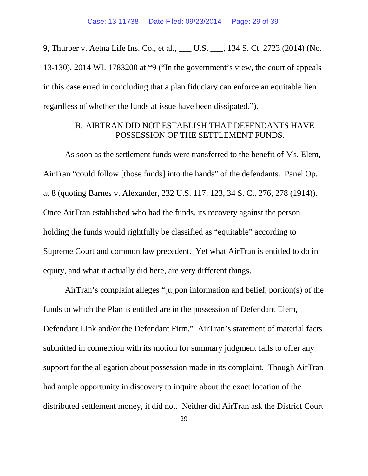9, Thurber v. Aetna Life Ins. Co., et al., \_\_\_ U.S. \_\_\_, 134 S. Ct. 2723 (2014) (No. 13-130), 2014 WL 1783200 at \*9 ("In the government's view, the court of appeals in this case erred in concluding that a plan fiduciary can enforce an equitable lien regardless of whether the funds at issue have been dissipated.").

### B. AIRTRAN DID NOT ESTABLISH THAT DEFENDANTS HAVE POSSESSION OF THE SETTLEMENT FUNDS.

As soon as the settlement funds were transferred to the benefit of Ms. Elem, AirTran "could follow [those funds] into the hands" of the defendants. Panel Op. at 8 (quoting Barnes v. Alexander, 232 U.S. 117, 123, 34 S. Ct. 276, 278 (1914)). Once AirTran established who had the funds, its recovery against the person holding the funds would rightfully be classified as "equitable" according to Supreme Court and common law precedent. Yet what AirTran is entitled to do in equity, and what it actually did here, are very different things.

AirTran's complaint alleges "[u]pon information and belief, portion(s) of the funds to which the Plan is entitled are in the possession of Defendant Elem, Defendant Link and/or the Defendant Firm."AirTran's statement of material facts submitted in connection with its motion for summary judgment fails to offer any support for the allegation about possession made in its complaint. Though AirTran had ample opportunity in discovery to inquire about the exact location of the distributed settlement money, it did not. Neither did AirTran ask the District Court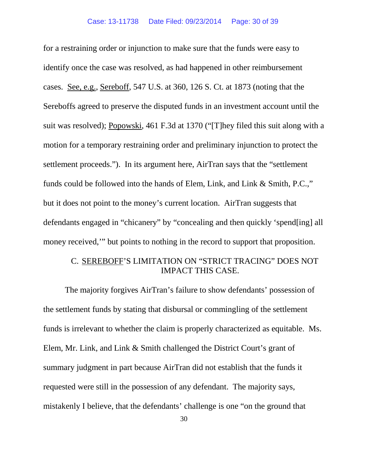for a restraining order or injunction to make sure that the funds were easy to identify once the case was resolved, as had happened in other reimbursement cases. See, e.g., Sereboff, 547 U.S. at 360, 126 S. Ct. at 1873 (noting that the Sereboffs agreed to preserve the disputed funds in an investment account until the suit was resolved); Popowski, 461 F.3d at 1370 ("[T]hey filed this suit along with a motion for a temporary restraining order and preliminary injunction to protect the settlement proceeds."). In its argument here, AirTran says that the "settlement funds could be followed into the hands of Elem, Link, and Link & Smith, P.C.," but it does not point to the money's current location. AirTran suggests that defendants engaged in "chicanery" by "concealing and then quickly 'spend[ing] all money received,'" but points to nothing in the record to support that proposition.

### C. SEREBOFF'S LIMITATION ON "STRICT TRACING" DOES NOT IMPACT THIS CASE.

The majority forgives AirTran's failure to show defendants' possession of the settlement funds by stating that disbursal or commingling of the settlement funds is irrelevant to whether the claim is properly characterized as equitable. Ms. Elem, Mr. Link, and Link & Smith challenged the District Court's grant of summary judgment in part because AirTran did not establish that the funds it requested were still in the possession of any defendant. The majority says, mistakenly I believe, that the defendants' challenge is one "on the ground that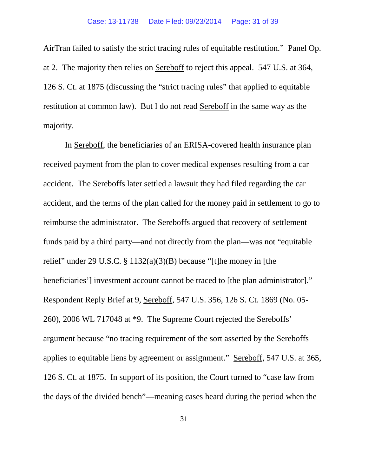AirTran failed to satisfy the strict tracing rules of equitable restitution." Panel Op. at 2. The majority then relies on Sereboff to reject this appeal. 547 U.S. at 364, 126 S. Ct. at 1875 (discussing the "strict tracing rules" that applied to equitable restitution at common law). But I do not read Sereboff in the same way as the majority.

In Sereboff, the beneficiaries of an ERISA-covered health insurance plan received payment from the plan to cover medical expenses resulting from a car accident. The Sereboffs later settled a lawsuit they had filed regarding the car accident, and the terms of the plan called for the money paid in settlement to go to reimburse the administrator. The Sereboffs argued that recovery of settlement funds paid by a third party—and not directly from the plan—was not "equitable relief" under 29 U.S.C.  $\S 1132(a)(3)(B)$  because "[t]he money in [the beneficiaries'] investment account cannot be traced to [the plan administrator]." Respondent Reply Brief at 9, Sereboff, 547 U.S. 356, 126 S. Ct. 1869 (No. 05- 260), 2006 WL 717048 at \*9. The Supreme Court rejected the Sereboffs' argument because "no tracing requirement of the sort asserted by the Sereboffs applies to equitable liens by agreement or assignment." Sereboff, 547 U.S. at 365, 126 S. Ct. at 1875. In support of its position, the Court turned to "case law from the days of the divided bench"—meaning cases heard during the period when the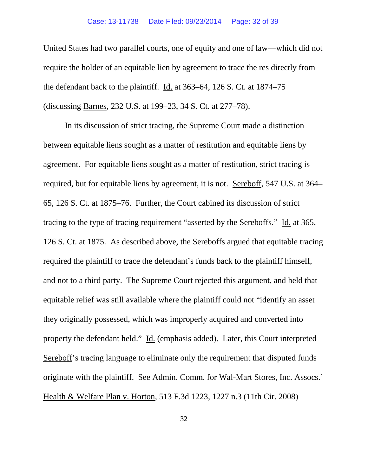#### Case: 13-11738 Date Filed: 09/23/2014 Page: 32 of 39

United States had two parallel courts, one of equity and one of law—which did not require the holder of an equitable lien by agreement to trace the res directly from the defendant back to the plaintiff. Id. at 363–64, 126 S. Ct. at 1874–75 (discussing Barnes, 232 U.S. at 199–23, 34 S. Ct. at 277–78).

In its discussion of strict tracing, the Supreme Court made a distinction between equitable liens sought as a matter of restitution and equitable liens by agreement. For equitable liens sought as a matter of restitution, strict tracing is required, but for equitable liens by agreement, it is not. Sereboff, 547 U.S. at 364– 65, 126 S. Ct. at 1875–76. Further, the Court cabined its discussion of strict tracing to the type of tracing requirement "asserted by the Sereboffs." Id. at 365, 126 S. Ct. at 1875. As described above, the Sereboffs argued that equitable tracing required the plaintiff to trace the defendant's funds back to the plaintiff himself, and not to a third party. The Supreme Court rejected this argument, and held that equitable relief was still available where the plaintiff could not "identify an asset they originally possessed, which was improperly acquired and converted into property the defendant held." Id. (emphasis added). Later, this Court interpreted Sereboff's tracing language to eliminate only the requirement that disputed funds originate with the plaintiff. See Admin. Comm. for Wal-Mart Stores, Inc. Assocs.' Health & Welfare Plan v. Horton, 513 F.3d 1223, 1227 n.3 (11th Cir. 2008)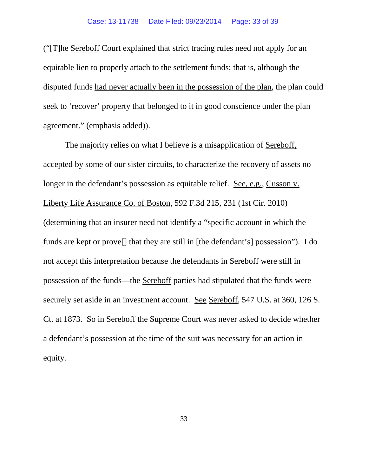("[T]he Sereboff Court explained that strict tracing rules need not apply for an equitable lien to properly attach to the settlement funds; that is, although the disputed funds had never actually been in the possession of the plan, the plan could seek to 'recover' property that belonged to it in good conscience under the plan agreement." (emphasis added)).

The majority relies on what I believe is a misapplication of Sereboff, accepted by some of our sister circuits, to characterize the recovery of assets no longer in the defendant's possession as equitable relief. See, e.g., Cusson v. Liberty Life Assurance Co. of Boston, 592 F.3d 215, 231 (1st Cir. 2010) (determining that an insurer need not identify a "specific account in which the funds are kept or prove[] that they are still in [the defendant's] possession"). I do not accept this interpretation because the defendants in Sereboff were still in possession of the funds—the Sereboff parties had stipulated that the funds were securely set aside in an investment account. See Sereboff, 547 U.S. at 360, 126 S. Ct. at 1873. So in Sereboff the Supreme Court was never asked to decide whether a defendant's possession at the time of the suit was necessary for an action in equity.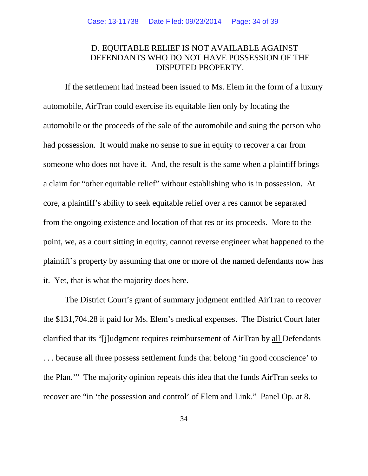### D. EQUITABLE RELIEF IS NOT AVAILABLE AGAINST DEFENDANTS WHO DO NOT HAVE POSSESSION OF THE DISPUTED PROPERTY.

If the settlement had instead been issued to Ms. Elem in the form of a luxury automobile, AirTran could exercise its equitable lien only by locating the automobile or the proceeds of the sale of the automobile and suing the person who had possession. It would make no sense to sue in equity to recover a car from someone who does not have it. And, the result is the same when a plaintiff brings a claim for "other equitable relief" without establishing who is in possession. At core, a plaintiff's ability to seek equitable relief over a res cannot be separated from the ongoing existence and location of that res or its proceeds. More to the point, we, as a court sitting in equity, cannot reverse engineer what happened to the plaintiff's property by assuming that one or more of the named defendants now has it. Yet, that is what the majority does here.

The District Court's grant of summary judgment entitled AirTran to recover the \$131,704.28 it paid for Ms. Elem's medical expenses. The District Court later clarified that its "[j]udgment requires reimbursement of AirTran by all Defendants . . . because all three possess settlement funds that belong 'in good conscience' to the Plan.'" The majority opinion repeats this idea that the funds AirTran seeks to recover are "in 'the possession and control' of Elem and Link." Panel Op. at 8.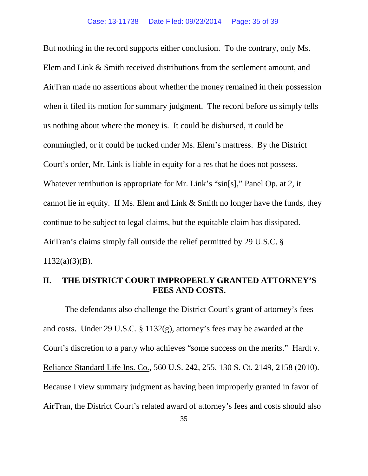But nothing in the record supports either conclusion. To the contrary, only Ms. Elem and Link & Smith received distributions from the settlement amount, and AirTran made no assertions about whether the money remained in their possession when it filed its motion for summary judgment. The record before us simply tells us nothing about where the money is. It could be disbursed, it could be commingled, or it could be tucked under Ms. Elem's mattress. By the District Court's order, Mr. Link is liable in equity for a res that he does not possess. Whatever retribution is appropriate for Mr. Link's "sin[s]," Panel Op. at 2, it cannot lie in equity. If Ms. Elem and Link & Smith no longer have the funds, they continue to be subject to legal claims, but the equitable claim has dissipated. AirTran's claims simply fall outside the relief permitted by 29 U.S.C. §  $1132(a)(3)(B)$ .

### **II. THE DISTRICT COURT IMPROPERLY GRANTED ATTORNEY'S FEES AND COSTS.**

The defendants also challenge the District Court's grant of attorney's fees and costs. Under 29 U.S.C. § 1132(g), attorney's fees may be awarded at the Court's discretion to a party who achieves "some success on the merits." Hardt v. Reliance Standard Life Ins. Co., 560 U.S. 242, 255, 130 S. Ct. 2149, 2158 (2010). Because I view summary judgment as having been improperly granted in favor of AirTran, the District Court's related award of attorney's fees and costs should also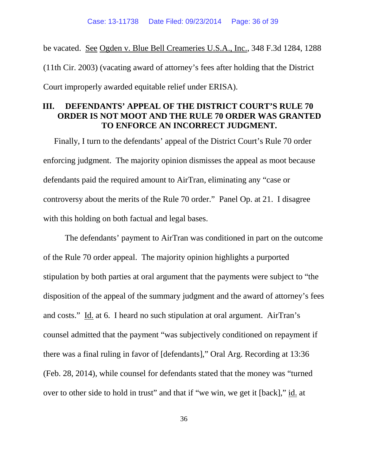be vacated. See Ogden v. Blue Bell Creameries U.S.A., Inc., 348 F.3d 1284, 1288 (11th Cir. 2003) (vacating award of attorney's fees after holding that the District Court improperly awarded equitable relief under ERISA).

### **III. DEFENDANTS' APPEAL OF THE DISTRICT COURT'S RULE 70 ORDER IS NOT MOOT AND THE RULE 70 ORDER WAS GRANTED TO ENFORCE AN INCORRECT JUDGMENT.**

Finally, I turn to the defendants' appeal of the District Court's Rule 70 order enforcing judgment. The majority opinion dismisses the appeal as moot because defendants paid the required amount to AirTran, eliminating any "case or controversy about the merits of the Rule 70 order." Panel Op. at 21. I disagree with this holding on both factual and legal bases.

The defendants' payment to AirTran was conditioned in part on the outcome of the Rule 70 order appeal. The majority opinion highlights a purported stipulation by both parties at oral argument that the payments were subject to "the disposition of the appeal of the summary judgment and the award of attorney's fees and costs." Id. at 6. I heard no such stipulation at oral argument. AirTran's counsel admitted that the payment "was subjectively conditioned on repayment if there was a final ruling in favor of [defendants]," Oral Arg. Recording at 13:36 (Feb. 28, 2014), while counsel for defendants stated that the money was "turned over to other side to hold in trust" and that if "we win, we get it [back]," id. at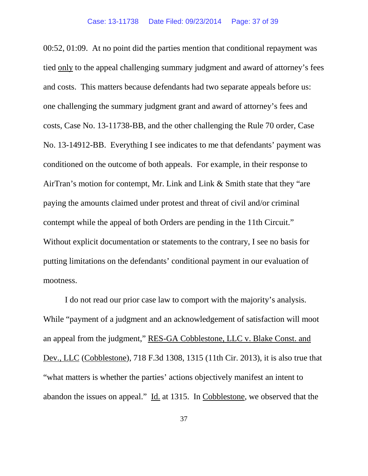00:52, 01:09. At no point did the parties mention that conditional repayment was tied only to the appeal challenging summary judgment and award of attorney's fees and costs. This matters because defendants had two separate appeals before us: one challenging the summary judgment grant and award of attorney's fees and costs, Case No. 13-11738-BB, and the other challenging the Rule 70 order, Case No. 13-14912-BB. Everything I see indicates to me that defendants' payment was conditioned on the outcome of both appeals. For example, in their response to AirTran's motion for contempt, Mr. Link and Link & Smith state that they "are paying the amounts claimed under protest and threat of civil and/or criminal contempt while the appeal of both Orders are pending in the 11th Circuit." Without explicit documentation or statements to the contrary, I see no basis for putting limitations on the defendants' conditional payment in our evaluation of mootness.

I do not read our prior case law to comport with the majority's analysis. While "payment of a judgment and an acknowledgement of satisfaction will moot an appeal from the judgment," RES-GA Cobblestone, LLC v. Blake Const. and Dev., LLC (Cobblestone), 718 F.3d 1308, 1315 (11th Cir. 2013), it is also true that "what matters is whether the parties' actions objectively manifest an intent to abandon the issues on appeal." Id. at 1315. In Cobblestone, we observed that the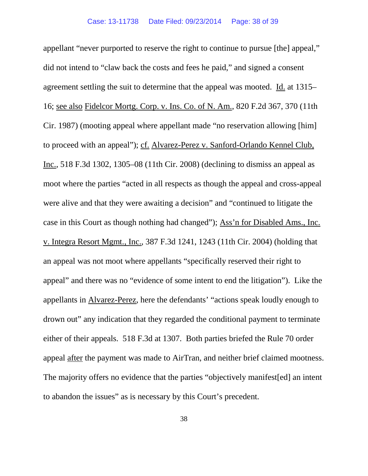appellant "never purported to reserve the right to continue to pursue [the] appeal," did not intend to "claw back the costs and fees he paid," and signed a consent agreement settling the suit to determine that the appeal was mooted. Id. at 1315– 16; see also Fidelcor Mortg. Corp. v. Ins. Co. of N. Am., 820 F.2d 367, 370 (11th Cir. 1987) (mooting appeal where appellant made "no reservation allowing [him] to proceed with an appeal"); cf. Alvarez-Perez v. Sanford-Orlando Kennel Club, Inc., 518 F.3d 1302, 1305–08 (11th Cir. 2008) (declining to dismiss an appeal as moot where the parties "acted in all respects as though the appeal and cross-appeal were alive and that they were awaiting a decision" and "continued to litigate the case in this Court as though nothing had changed"); Ass'n for Disabled Ams., Inc. v. Integra Resort Mgmt., Inc., 387 F.3d 1241, 1243 (11th Cir. 2004) (holding that an appeal was not moot where appellants "specifically reserved their right to appeal" and there was no "evidence of some intent to end the litigation"). Like the appellants in Alvarez-Perez, here the defendants' "actions speak loudly enough to drown out" any indication that they regarded the conditional payment to terminate either of their appeals. 518 F.3d at 1307. Both parties briefed the Rule 70 order appeal after the payment was made to AirTran, and neither brief claimed mootness. The majority offers no evidence that the parties "objectively manifest[ed] an intent to abandon the issues" as is necessary by this Court's precedent.